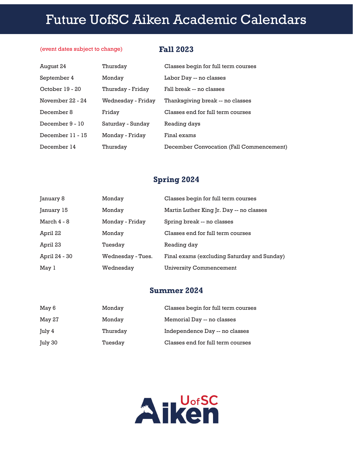# **2019-2020 USC Aiken Academic Calendar** Future UofSC Aiken Academic Calendars

#### (event dates subject to change)

### **Fall 2023**

| August 24        | Thursday           | Classes begin for full term courses      |
|------------------|--------------------|------------------------------------------|
| September 4      | Monday             | Labor Day -- no classes                  |
| October 19 - 20  | Thursday - Friday  | Fall break -- no classes                 |
| November 22 - 24 | Wednesday - Friday | Thanksgiving break -- no classes         |
| December 8       | Friday             | Classes end for full term courses        |
| December 9 - 10  | Saturday - Sunday  | Reading days                             |
| December 11 - 15 | Monday - Friday    | Final exams                              |
| December 14      | Thursday           | December Convocation (Fall Commencement) |

## **Spring 2024**

| January 8     | Monday            | Classes begin for full term courses         |
|---------------|-------------------|---------------------------------------------|
| January 15    | Monday            | Martin Luther King Jr. Day -- no classes    |
| March 4 - 8   | Monday - Friday   | Spring break -- no classes                  |
| April 22      | Monday            | Classes end for full term courses           |
| April 23      | Tuesday           | Reading day                                 |
| April 24 - 30 | Wednesday - Tues. | Final exams (excluding Saturday and Sunday) |
| May 1         | Wednesdav         | University Commencement                     |

### **Summer 2024**

| May 6   | Monday   | Classes begin for full term courses |
|---------|----------|-------------------------------------|
| May 27  | Monday   | Memorial Day -- no classes          |
| July 4  | Thursday | Independence Day -- no classes      |
| July 30 | Tuesday  | Classes end for full term courses   |